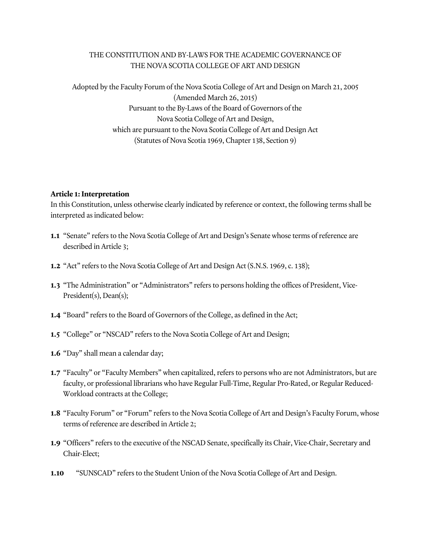## THE CONSTITUTION AND BY-LAWS FOR THE ACADEMIC GOVERNANCE OF THE NOVA SCOTIA COLLEGE OF ART AND DESIGN

Adopted by the Faculty Forum of the Nova Scotia College of Art and Design on March 21, 2005 (Amended March 26, 2015) Pursuant to the By-Laws of the Board of Governors of the Nova Scotia College of Art and Design, which are pursuant to the Nova Scotia College of Art and Design Act (Statutes of Nova Scotia 1969, Chapter 138, Section 9)

## **Article 1: Interpretation**

In this Constitution, unless otherwise clearly indicated by reference or context, the following terms shall be interpreted as indicated below:

- **1.1** "Senate" refers to the Nova Scotia College of Art and Design's Senate whose terms of reference are described in Article 3;
- **1.2** "Act" refers to the Nova Scotia College of Art and Design Act (S.N.S. 1969, c. 138);
- **1.3** "The Administration" or "Administrators" refers to persons holding the offices of President, Vice-President(s), Dean(s);
- **1.4** "Board" refers to the Board of Governors of the College, as defined in the Act;
- **1.5** "College" or "NSCAD" refers to the Nova Scotia College of Art and Design;
- **1.6** "Day" shall mean a calendar day;
- **1.7** "Faculty" or "Faculty Members" when capitalized, refers to persons who are not Administrators, but are faculty, or professional librarians who have Regular Full-Time, Regular Pro-Rated, or Regular Reduced-Workload contracts at the College;
- **1.8** "Faculty Forum" or "Forum" refers to the Nova Scotia College of Art and Design's Faculty Forum, whose terms of reference are described in Article 2;
- **1.9** "Officers" refers to the executive of the NSCAD Senate, specifically its Chair, Vice-Chair, Secretary and Chair-Elect;
- **1.10** "SUNSCAD" refers to the Student Union of the Nova Scotia College of Art and Design.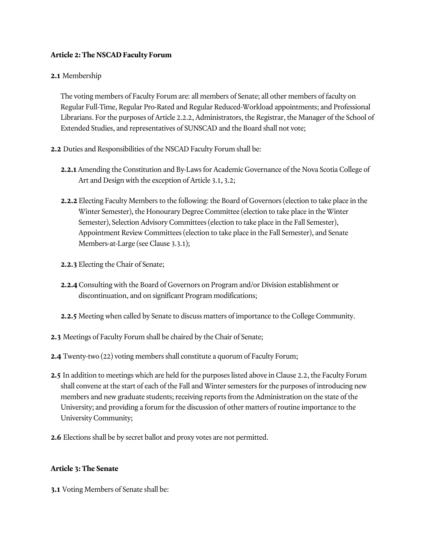### **Article 2: The NSCAD Faculty Forum**

### **2.1** Membership

The voting members of Faculty Forum are: all members of Senate; all other members of faculty on Regular Full-Time, Regular Pro-Rated and Regular Reduced-Workload appointments; and Professional Librarians. For the purposes of Article 2.2.2, Administrators, the Registrar, the Manager of the School of Extended Studies, and representatives of SUNSCAD and the Board shall not vote;

- **2.2** Duties and Responsibilities of the NSCAD Faculty Forum shall be:
	- **2.2.1** Amending the Constitution and By-Laws for Academic Governance of the Nova Scotia College of Art and Design with the exception of Article 3.1, 3.2;
	- **2.2.2** Electing Faculty Members to the following: the Board of Governors (election to take place in the Winter Semester), the Honourary Degree Committee (election to take place in the Winter Semester), Selection Advisory Committees (election to take place in the Fall Semester), Appointment Review Committees (election to take place in the Fall Semester), and Senate Members-at-Large (see Clause 3.3.1);
	- **2.2.3** Electing the Chair of Senate;
	- **2.2.4** Consulting with the Board of Governors on Program and/or Division establishment or discontinuation, and on significant Program modifications;
	- **2.2.5** Meeting when called by Senate to discuss matters of importance to the College Community.
- **2.3** Meetings of Faculty Forum shall be chaired by the Chair of Senate;
- **2.4** Twenty-two (22) voting members shall constitute a quorum of Faculty Forum;
- **2.5** In addition to meetings which are held for the purposes listed above in Clause 2.2, the Faculty Forum shall convene at the start of each of the Fall and Winter semesters for the purposes of introducing new members and new graduate students; receiving reports from the Administration on the state of the University; and providing a forum for the discussion of other matters of routine importance to the University Community;
- **2.6** Elections shall be by secret ballot and proxy votes are not permitted.

#### **Article 3: The Senate**

**3.1** Voting Members of Senate shall be: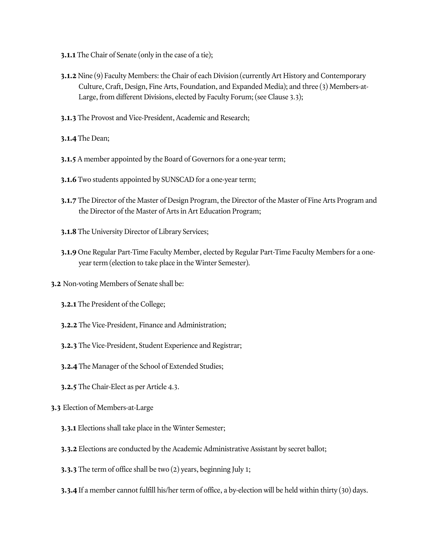- **3.1.1** The Chair of Senate (only in the case of a tie);
- **3.1.2** Nine (9) Faculty Members: the Chair of each Division (currently Art History and Contemporary Culture, Craft, Design, Fine Arts, Foundation, and Expanded Media); and three (3) Members-at-Large, from different Divisions, elected by Faculty Forum; (see Clause 3.3);
- **3.1.3** The Provost and Vice-President, Academic and Research;
- **3.1.4** The Dean;
- **3.1.5** A member appointed by the Board of Governors for a one-year term;
- **3.1.6** Two students appointed by SUNSCAD for a one-year term;
- **3.1.7** The Director of the Master of Design Program, the Director of the Master of Fine Arts Program and the Director of the Master of Arts in Art Education Program;
- **3.1.8** The University Director of Library Services;
- **3.1.9** One Regular Part-Time Faculty Member, elected by Regular Part-Time Faculty Members for a oneyear term (election to take place in the Winter Semester).
- **3.2** Non-voting Members of Senate shall be:
	- **3.2.1** The President of the College;
	- **3.2.2** The Vice-President, Finance and Administration;
	- **3.2.3** The Vice-President, Student Experience and Registrar;
	- **3.2.4** The Manager of the School of Extended Studies;
	- **3.2.5** The Chair-Elect as per Article 4.3.
- **3.3** Election of Members-at-Large
	- **3.3.1** Elections shall take place in the Winter Semester;
	- **3.3.2** Elections are conducted by the Academic Administrative Assistant by secret ballot;
	- **3.3.3** The term of office shall be two (2) years, beginning July 1;
	- **3.3.4** If a member cannot fulfill his/her term of office, a by-election will be held within thirty (30) days.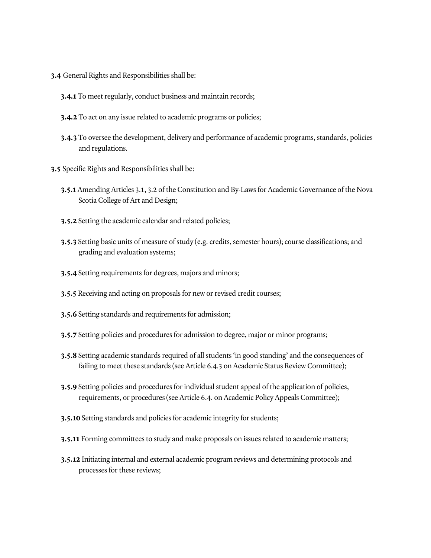- **3.4** General Rights and Responsibilities shall be:
	- **3.4.1** To meet regularly, conduct business and maintain records;
	- **3.4.2** To act on any issue related to academic programs or policies;
	- **3.4.3** To oversee the development, delivery and performance of academic programs, standards, policies and regulations.
- **3.5** Specific Rights and Responsibilities shall be:
	- **3.5.1** Amending Articles 3.1, 3.2 of the Constitution and By-Laws for Academic Governance of the Nova Scotia College of Art and Design;
	- **3.5.2** Setting the academic calendar and related policies;
	- **3.5.3** Setting basic units of measure of study (e.g. credits, semester hours); course classifications; and grading and evaluation systems;
	- **3.5.4** Setting requirements for degrees, majors and minors;
	- **3.5.5** Receiving and acting on proposals for new or revised credit courses;
	- **3.5.6** Setting standards and requirements for admission;
	- **3.5.7** Setting policies and procedures for admission to degree, major or minor programs;
	- **3.5.8** Setting academic standards required of all students 'in good standing' and the consequences of failing to meet these standards (see Article 6.4.3 on Academic Status Review Committee);
	- **3.5.9** Setting policies and procedures for individual student appeal of the application of policies, requirements, or procedures (see Article 6.4. on Academic Policy Appeals Committee);
	- **3.5.10** Setting standards and policies for academic integrity for students;
	- **3.5.11** Forming committees to study and make proposals on issues related to academic matters;
	- **3.5.12** Initiating internal and external academic program reviews and determining protocols and processes for these reviews;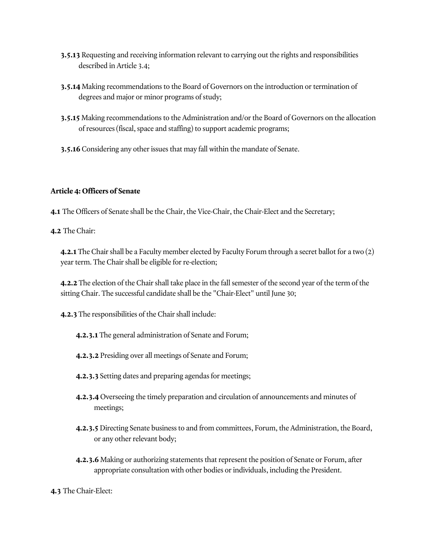- **3.5.13** Requesting and receiving information relevant to carrying out the rights and responsibilities described in Article 3.4;
- **3.5.14** Making recommendations to the Board of Governors on the introduction or termination of degrees and major or minor programs of study;
- **3.5.15** Making recommendations to the Administration and/or the Board of Governors on the allocation of resources (fiscal, space and staffing) to support academic programs;
- **3.5.16** Considering any other issues that may fall within the mandate of Senate.

## **Article 4: Officers of Senate**

**4.1** The Officers of Senate shall be the Chair, the Vice-Chair, the Chair-Elect and the Secretary;

**4.2** The Chair:

**4.2.1** The Chair shall be a Faculty member elected by Faculty Forum through a secret ballot for a two (2) year term. The Chair shall be eligible for re-election;

**4.2.2** The election of the Chair shall take place in the fall semester of the second year of the term of the sitting Chair. The successful candidate shall be the "Chair-Elect" until June 30;

**4.2.3** The responsibilities of the Chair shall include:

- **4.2.3.1** The general administration of Senate and Forum;
- **4.2.3.2** Presiding over all meetings of Senate and Forum;
- **4.2.3.3** Setting dates and preparing agendas for meetings;
- **4.2.3.4** Overseeing the timely preparation and circulation of announcements and minutes of meetings;
- **4.2.3.5** Directing Senate business to and from committees, Forum, the Administration, the Board, or any other relevant body;
- **4.2.3.6** Making or authorizing statements that represent the position of Senate or Forum, after appropriate consultation with other bodies or individuals, including the President.

**4.3** The Chair-Elect: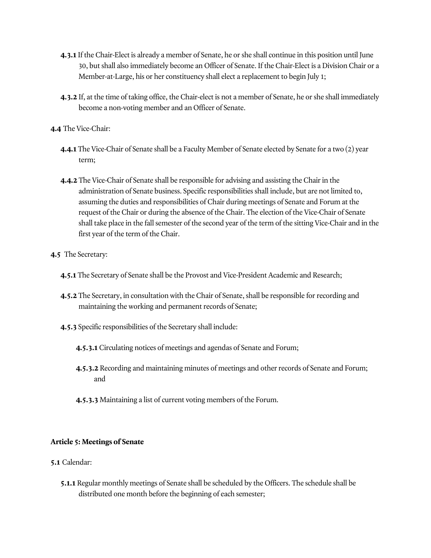- **4.3.1** If the Chair-Elect is already a member of Senate, he or she shall continue in this position until June 30, but shall also immediately become an Officer of Senate. If the Chair-Elect is a Division Chair or a Member-at-Large, his or her constituency shall elect a replacement to begin July 1;
- **4.3.2** If, at the time of taking office, the Chair-elect is not a member of Senate, he or she shall immediately become a non-voting member and an Officer of Senate.
- **4.4** The Vice-Chair:
	- **4.4.1** The Vice-Chair of Senate shall be a Faculty Member of Senate elected by Senate for a two (2) year term;
	- **4.4.2** The Vice-Chair of Senate shall be responsible for advising and assisting the Chair in the administration of Senate business. Specific responsibilities shall include, but are not limited to, assuming the duties and responsibilities of Chair during meetings of Senate and Forum at the request of the Chair or during the absence of the Chair. The election of the Vice-Chair of Senate shall take place in the fall semester of the second year of the term of the sitting Vice-Chair and in the first year of the term of the Chair.
- **4.5** The Secretary:
	- **4.5.1** The Secretary of Senate shall be the Provost and Vice-President Academic and Research;
	- **4.5.2** The Secretary, in consultation with the Chair of Senate, shall be responsible for recording and maintaining the working and permanent records of Senate;
	- **4.5.3** Specific responsibilities of the Secretary shall include:
		- **4.5.3.1** Circulating notices of meetings and agendas of Senate and Forum;
		- **4.5.3.2** Recording and maintaining minutes of meetings and other records of Senate and Forum; and
		- **4.5.3.3** Maintaining a list of current voting members of the Forum.

## **Article 5: Meetings of Senate**

- **5.1** Calendar:
	- **5.1.1** Regular monthly meetings of Senate shall be scheduled by the Officers. The schedule shall be distributed one month before the beginning of each semester;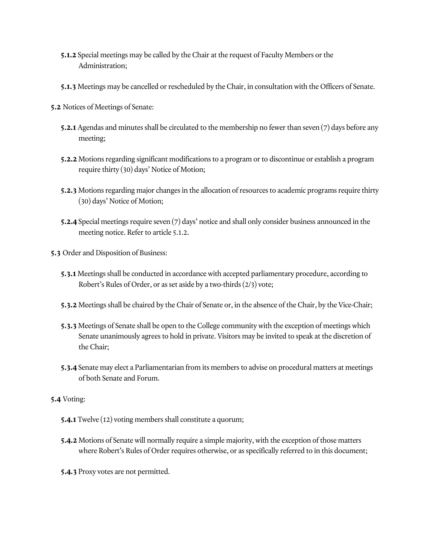- **5.1.2** Special meetings may be called by the Chair at the request of Faculty Members or the Administration;
- **5.1.3** Meetings may be cancelled or rescheduled by the Chair, in consultation with the Officers of Senate.
- **5.2** Notices of Meetings of Senate:
	- **5.2.1** Agendas and minutes shall be circulated to the membership no fewer than seven (7) days before any meeting;
	- **5.2.2** Motions regarding significant modifications to a program or to discontinue or establish a program require thirty (30) days' Notice of Motion;
	- **5.2.3** Motions regarding major changes in the allocation of resources to academic programs require thirty (30) days' Notice of Motion;
	- **5.2.4** Special meetings require seven (7) days' notice and shall only consider business announced in the meeting notice. Refer to article 5.1.2.
- **5.3** Order and Disposition of Business:
	- **5.3.1** Meetings shall be conducted in accordance with accepted parliamentary procedure, according to Robert's Rules of Order, or as set aside by a two-thirds (2/3) vote;
	- **5.3.2** Meetings shall be chaired by the Chair of Senate or, in the absence of the Chair, by the Vice-Chair;
	- **5.3.3** Meetings of Senate shall be open to the College community with the exception of meetings which Senate unanimously agrees to hold in private. Visitors may be invited to speak at the discretion of the Chair;
	- **5.3.4** Senate may elect a Parliamentarian from its members to advise on procedural matters at meetings of both Senate and Forum.
- **5.4** Voting:
	- **5.4.1** Twelve (12) voting members shall constitute a quorum;
	- **5.4.2** Motions of Senate will normally require a simple majority, with the exception of those matters where Robert's Rules of Order requires otherwise, or as specifically referred to in this document;
	- **5.4.3** Proxy votes are not permitted.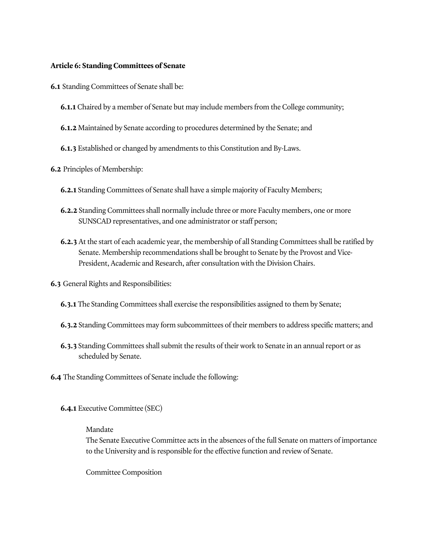### **Article 6: Standing Committees of Senate**

- **6.1** Standing Committees of Senate shall be:
	- **6.1.1** Chaired by a member of Senate but may include members from the College community;
	- **6.1.2** Maintained by Senate according to procedures determined by the Senate; and
	- **6.1.3** Established or changed by amendments to this Constitution and By-Laws.
- **6.2** Principles of Membership:
	- **6.2.1** Standing Committees of Senate shall have a simple majority of Faculty Members;
	- **6.2.2** Standing Committees shall normally include three or more Faculty members, one or more SUNSCAD representatives, and one administrator or staff person;
	- **6.2.3** At the start of each academic year, the membership of all Standing Committees shall be ratified by Senate. Membership recommendations shall be brought to Senate by the Provost and Vice-President, Academic and Research, after consultation with the Division Chairs.
- **6.3** General Rights and Responsibilities:
	- **6.3.1** The Standing Committees shall exercise the responsibilities assigned to them by Senate;
	- **6.3.2** Standing Committees may form subcommittees of their members to address specific matters; and
	- **6.3.3** Standing Committees shall submit the results of their work to Senate in an annual report or as scheduled by Senate.
- **6.4** The Standing Committees of Senate include the following:
	- **6.4.1** Executive Committee (SEC)

### Mandate

The Senate Executive Committee acts in the absences of the full Senate on matters of importance to the University and is responsible for the effective function and review of Senate.

Committee Composition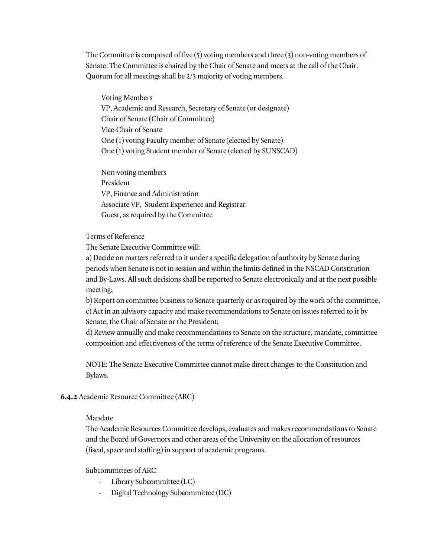The Committee is composed of five  $(5)$  voting members and three  $(3)$  non-voting members of Senate. The Committee is chaired by the Chair of Senate and meets at the call of the Chair. Quorum for all meetings shall be 2/3 majority of voting members.

Voting Members VP, Academic and Research, Secretary of Senate (or designate) Chair of Senate (Chair of Committee) Vice-Chair of Senate One (1) voting Faculty member of Senate (elected by Senate) One (1) voting Student member of Senate (elected by SUNSCAD)

Non-voting members President VP, Finance and Administration Associate VP, Student Experience and Registrar Guest, as required by the Committee

Terms of Reference

The Senate Executive Committee will:

a) Decide on matters referred to it under a specific delegation of authority by Senate during periods when Senate is not in session and within the limits defined in the NSCAD Constitution and By-Laws. All such decisions shall be reported to Senate electronically and at the next possible meeting;

b) Report on committee business to Senate quarterly or as required by the work of the committee; c) Act in an advisory capacity and make recommendations to Senate on issues referred to it by Senate, the Chair of Senate or the President;

d) Review annually and make recommendations to Senate on the structure, mandate, committee composition and effectiveness of the terms of reference of the Senate Executive Committee.

NOTE: The Senate Executive Committee cannot make direct changes to the Constitution and Bylaws.

## **6.4.2** Academic Resource Committee (ARC)

#### Mandate

The Academic Resources Committee develops, evaluates and makes recommendations to Senate and the Board of Governors and other areas of the University on the allocation of resources (fiscal, space and staffing) in support of academic programs.

Subcommittees of ARC

- Library Subcommittee (LC)
- Digital Technology Subcommittee (DC)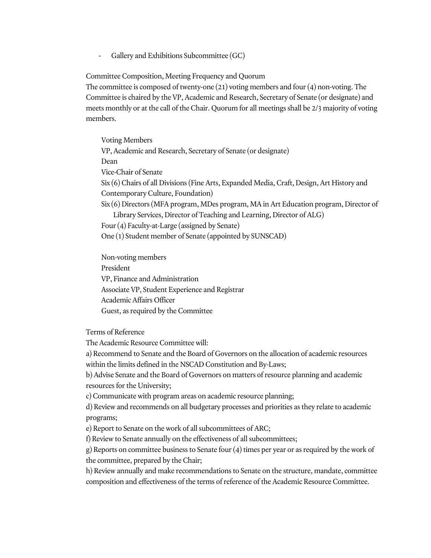- Gallery and Exhibitions Subcommittee (GC)

Committee Composition, Meeting Frequency and Quorum

The committee is composed of twenty-one (21) voting members and four (4) non-voting. The Committee is chaired by the VP, Academic and Research, Secretary of Senate (or designate) and meets monthly or at the call of the Chair. Quorum for all meetings shall be 2/3 majority of voting members.

Voting Members VP, Academic and Research, Secretary of Senate (or designate) Dean Vice-Chair of Senate Six (6) Chairs of all Divisions (Fine Arts, Expanded Media, Craft, Design, Art History and Contemporary Culture, Foundation) Six (6) Directors (MFA program, MDes program, MA in Art Education program, Director of Library Services, Director of Teaching and Learning, Director of ALG) Four (4) Faculty-at-Large (assigned by Senate) One (1) Student member of Senate (appointed by SUNSCAD)

Non-voting members President VP, Finance and Administration Associate VP, Student Experience and Registrar Academic Affairs Officer Guest, as required by the Committee

Terms of Reference

The Academic Resource Committee will:

a) Recommend to Senate and the Board of Governors on the allocation of academic resources within the limits defined in the NSCAD Constitution and By-Laws;

b) Advise Senate and the Board of Governors on matters of resource planning and academic resources for the University;

c) Communicate with program areas on academic resource planning;

d) Review and recommends on all budgetary processes and priorities as they relate to academic programs;

e) Report to Senate on the work of all subcommittees of ARC;

f) Review to Senate annually on the effectiveness of all subcommittees;

g) Reports on committee business to Senate four (4) times per year or as required by the work of the committee, prepared by the Chair;

h) Review annually and make recommendations to Senate on the structure, mandate, committee composition and effectiveness of the terms of reference of the Academic Resource Committee.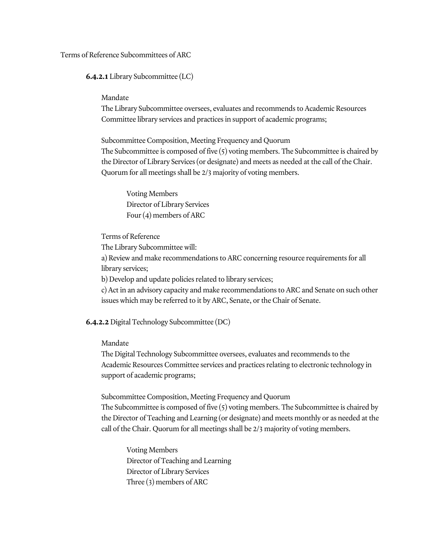Terms of Reference Subcommittees of ARC

**6.4.2.1** Library Subcommittee (LC)

#### Mandate

The Library Subcommittee oversees, evaluates and recommends to Academic Resources Committee library services and practices in support of academic programs;

Subcommittee Composition, Meeting Frequency and Quorum The Subcommittee is composed of five (5) voting members. The Subcommittee is chaired by the Director of Library Services (or designate) and meets as needed at the call of the Chair. Quorum for all meetings shall be 2/3 majority of voting members.

Voting Members Director of Library Services Four (4) members of ARC

Terms of Reference

The Library Subcommittee will:

a) Review and make recommendations to ARC concerning resource requirements for all library services;

b) Develop and update policies related to library services;

c) Act in an advisory capacity and make recommendations to ARC and Senate on such other issues which may be referred to it by ARC, Senate, or the Chair of Senate.

**6.4.2.2** Digital Technology Subcommittee (DC)

Mandate

The Digital Technology Subcommittee oversees, evaluates and recommends to the Academic Resources Committee services and practices relating to electronic technology in support of academic programs;

Subcommittee Composition, Meeting Frequency and Quorum The Subcommittee is composed of five (5) voting members. The Subcommittee is chaired by the Director of Teaching and Learning (or designate) and meets monthly or as needed at the call of the Chair. Quorum for all meetings shall be 2/3 majority of voting members.

Voting Members Director of Teaching and Learning Director of Library Services Three (3) members of ARC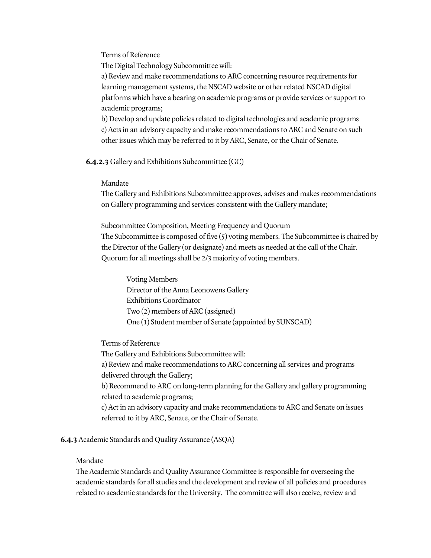Terms of Reference

The Digital Technology Subcommittee will:

a) Review and make recommendations to ARC concerning resource requirements for learning management systems, the NSCAD website or other related NSCAD digital platforms which have a bearing on academic programs or provide services or support to academic programs;

b) Develop and update policies related to digital technologies and academic programs c) Acts in an advisory capacity and make recommendations to ARC and Senate on such other issues which may be referred to it by ARC, Senate, or the Chair of Senate.

**6.4.2.3** Gallery and Exhibitions Subcommittee (GC)

### Mandate

The Gallery and Exhibitions Subcommittee approves, advises and makes recommendations on Gallery programming and services consistent with the Gallery mandate;

Subcommittee Composition, Meeting Frequency and Quorum The Subcommittee is composed of five (5) voting members. The Subcommittee is chaired by the Director of the Gallery (or designate) and meets as needed at the call of the Chair. Quorum for all meetings shall be 2/3 majority of voting members.

Voting Members Director of the Anna Leonowens Gallery Exhibitions Coordinator Two (2) members of ARC (assigned) One (1) Student member of Senate (appointed by SUNSCAD)

Terms of Reference

The Gallery and Exhibitions Subcommittee will:

a) Review and make recommendations to ARC concerning all services and programs delivered through the Gallery;

b) Recommend to ARC on long-term planning for the Gallery and gallery programming related to academic programs;

c) Act in an advisory capacity and make recommendations to ARC and Senate on issues referred to it by ARC, Senate, or the Chair of Senate.

**6.4.3** Academic Standards and Quality Assurance (ASQA)

Mandate

The Academic Standards and Quality Assurance Committee is responsible for overseeing the academic standards for all studies and the development and review of all policies and procedures related to academic standards for the University. The committee will also receive, review and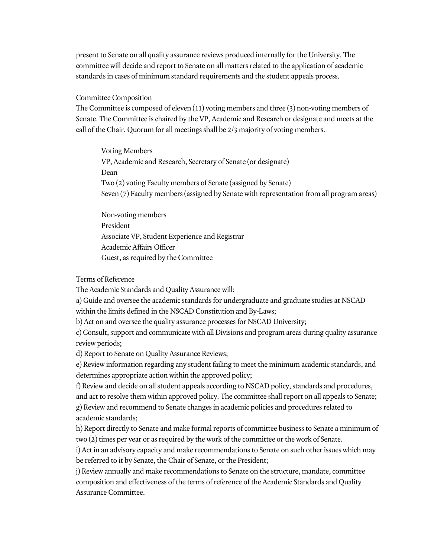present to Senate on all quality assurance reviews produced internally for the University. The committee will decide and report to Senate on all matters related to the application of academic standards in cases of minimum standard requirements and the student appeals process.

#### Committee Composition

The Committee is composed of eleven (11) voting members and three (3) non-voting members of Senate. The Committee is chaired by the VP, Academic and Research or designate and meets at the call of the Chair. Quorum for all meetings shall be 2/3 majority of voting members.

Voting Members VP, Academic and Research, Secretary of Senate (or designate) Dean Two (2) voting Faculty members of Senate (assigned by Senate) Seven (7) Faculty members (assigned by Senate with representation from all program areas)

Non-voting members President Associate VP, Student Experience and Registrar Academic Affairs Officer Guest, as required by the Committee

Terms of Reference

The Academic Standards and Quality Assurance will:

a) Guide and oversee the academic standards for undergraduate and graduate studies at NSCAD within the limits defined in the NSCAD Constitution and By-Laws;

b) Act on and oversee the quality assurance processes for NSCAD University;

c) Consult, support and communicate with all Divisions and program areas during quality assurance review periods;

d) Report to Senate on Quality Assurance Reviews;

e) Review information regarding any student failing to meet the minimum academic standards, and determines appropriate action within the approved policy;

f) Review and decide on all student appeals according to NSCAD policy, standards and procedures, and act to resolve them within approved policy. The committee shall report on all appeals to Senate; g) Review and recommend to Senate changes in academic policies and procedures related to academic standards;

h) Report directly to Senate and make formal reports of committee business to Senate a minimum of two (2) times per year or as required by the work of the committee or the work of Senate.

i) Act in an advisory capacity and make recommendations to Senate on such other issues which may be referred to it by Senate, the Chair of Senate, or the President;

j) Review annually and make recommendations to Senate on the structure, mandate, committee composition and effectiveness of the terms of reference of the Academic Standards and Quality Assurance Committee.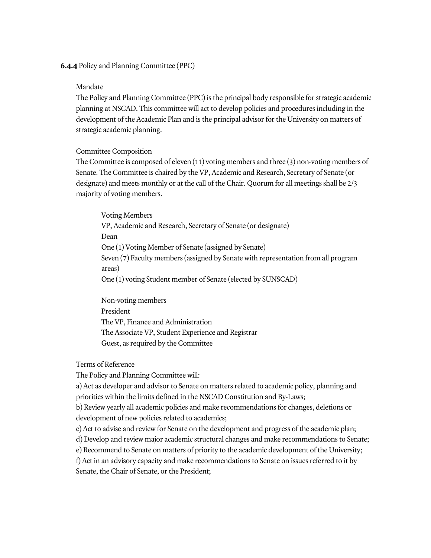**6.4.4** Policy and Planning Committee (PPC)

### Mandate

The Policy and Planning Committee (PPC) is the principal body responsible for strategic academic planning at NSCAD. This committee will act to develop policies and procedures including in the development of the Academic Plan and is the principal advisor for the University on matters of strategic academic planning.

# Committee Composition

The Committee is composed of eleven (11) voting members and three (3) non-voting members of Senate. The Committee is chaired by the VP, Academic and Research, Secretary of Senate (or designate) and meets monthly or at the call of the Chair. Quorum for all meetings shall be 2/3 majority of voting members.

Voting Members VP, Academic and Research, Secretary of Senate (or designate) Dean One (1) Voting Member of Senate (assigned by Senate) Seven (7) Faculty members (assigned by Senate with representation from all program areas) One (1) voting Student member of Senate (elected by SUNSCAD)

Non-voting members President The VP, Finance and Administration The Associate VP, Student Experience and Registrar Guest, as required by the Committee

Terms of Reference

The Policy and Planning Committee will:

a) Act as developer and advisor to Senate on matters related to academic policy, planning and priorities within the limits defined in the NSCAD Constitution and By-Laws;

b) Review yearly all academic policies and make recommendations for changes, deletions or development of new policies related to academics;

c) Act to advise and review for Senate on the development and progress of the academic plan;

d) Develop and review major academic structural changes and make recommendations to Senate;

e) Recommend to Senate on matters of priority to the academic development of the University;

f) Act in an advisory capacity and make recommendations to Senate on issues referred to it by Senate, the Chair of Senate, or the President;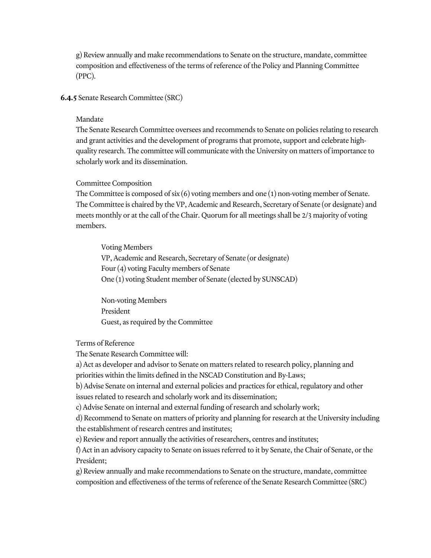g) Review annually and make recommendations to Senate on the structure, mandate, committee composition and effectiveness of the terms of reference of the Policy and Planning Committee (PPC).

#### **6.4.5** Senate Research Committee (SRC)

#### Mandate

The Senate Research Committee oversees and recommends to Senate on policies relating to research and grant activities and the development of programs that promote, support and celebrate highquality research. The committee will communicate with the University on matters of importance to scholarly work and its dissemination.

#### Committee Composition

The Committee is composed of  $\text{six}(6)$  voting members and one  $(1)$  non-voting member of Senate. The Committee is chaired by the VP, Academic and Research, Secretary of Senate (or designate) and meets monthly or at the call of the Chair. Quorum for all meetings shall be 2/3 majority of voting members.

Voting Members VP, Academic and Research, Secretary of Senate (or designate) Four (4) voting Faculty members of Senate One (1) voting Student member of Senate (elected by SUNSCAD)

Non-voting Members President Guest, as required by the Committee

Terms of Reference

The Senate Research Committee will:

a) Act as developer and advisor to Senate on matters related to research policy, planning and priorities within the limits defined in the NSCAD Constitution and By-Laws;

b) Advise Senate on internal and external policies and practices for ethical, regulatory and other issues related to research and scholarly work and its dissemination;

c) Advise Senate on internal and external funding of research and scholarly work;

d) Recommend to Senate on matters of priority and planning for research at the University including the establishment of research centres and institutes;

e) Review and report annually the activities of researchers, centres and institutes;

f) Act in an advisory capacity to Senate on issues referred to it by Senate, the Chair of Senate, or the President;

g) Review annually and make recommendations to Senate on the structure, mandate, committee composition and effectiveness of the terms of reference of the Senate Research Committee (SRC)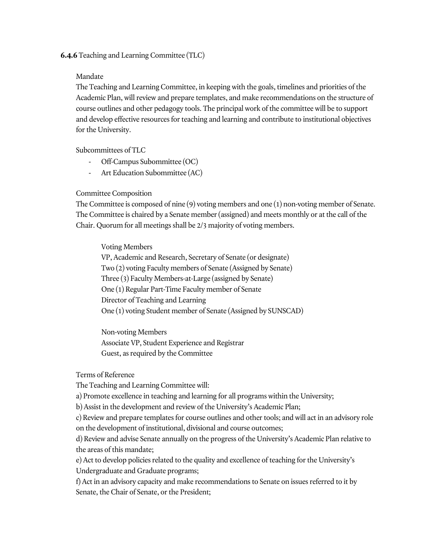### **6.4.6** Teaching and Learning Committee (TLC)

### Mandate

The Teaching and Learning Committee, in keeping with the goals, timelines and priorities of the Academic Plan, will review and prepare templates, and make recommendations on the structure of course outlines and other pedagogy tools. The principal work of the committee will be to support and develop effective resources for teaching and learning and contribute to institutional objectives for the University.

Subcommittees of TLC

- Off-Campus Subommittee (OC)
- Art Education Subommittee (AC)

## Committee Composition

The Committee is composed of nine (9) voting members and one (1) non-voting member of Senate. The Committee is chaired by a Senate member (assigned) and meets monthly or at the call of the Chair. Quorum for all meetings shall be 2/3 majority of voting members.

Voting Members

VP, Academic and Research, Secretary of Senate (or designate) Two (2) voting Faculty members of Senate (Assigned by Senate) Three (3) Faculty Members-at-Large (assigned by Senate) One (1) Regular Part-Time Faculty member of Senate Director of Teaching and Learning One (1) voting Student member of Senate (Assigned by SUNSCAD)

Non-voting Members Associate VP, Student Experience and Registrar Guest, as required by the Committee

Terms of Reference

The Teaching and Learning Committee will:

a) Promote excellence in teaching and learning for all programs within the University;

b) Assist in the development and review of the University's Academic Plan;

c) Review and prepare templates for course outlines and other tools; and will act in an advisory role on the development of institutional, divisional and course outcomes;

d) Review and advise Senate annually on the progress of the University's Academic Plan relative to the areas of this mandate;

e) Act to develop policies related to the quality and excellence of teaching for the University's Undergraduate and Graduate programs;

f) Act in an advisory capacity and make recommendations to Senate on issues referred to it by Senate, the Chair of Senate, or the President;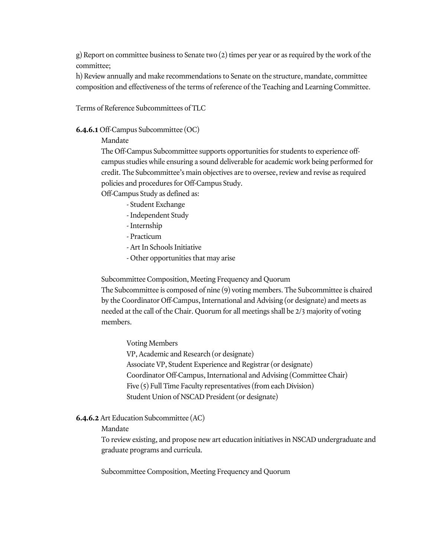g) Report on committee business to Senate two (2) times per year or as required by the work of the committee;

h) Review annually and make recommendations to Senate on the structure, mandate, committee composition and effectiveness of the terms of reference of the Teaching and Learning Committee.

Terms of Reference Subcommittees of TLC

### **6.4.6.1** Off-Campus Subcommittee (OC)

### Mandate

The Off-Campus Subcommittee supports opportunities for students to experience offcampus studies while ensuring a sound deliverable for academic work being performed for credit. The Subcommittee's main objectives are to oversee, review and revise as required policies and procedures for Off-Campus Study.

Off-Campus Study as defined as:

- Student Exchange
- Independent Study
- Internship
- Practicum
- Art In Schools Initiative
- Other opportunities that may arise

Subcommittee Composition, Meeting Frequency and Quorum The Subcommittee is composed of nine (9) voting members. The Subcommittee is chaired by the Coordinator Off-Campus, International and Advising (or designate) and meets as needed at the call of the Chair. Quorum for all meetings shall be 2/3 majority of voting members.

Voting Members

VP, Academic and Research (or designate) Associate VP, Student Experience and Registrar (or designate) Coordinator Off-Campus, International and Advising (Committee Chair) Five (5) Full Time Faculty representatives (from each Division) Student Union of NSCAD President (or designate)

## **6.4.6.2** Art Education Subcommittee (AC)

Mandate

To review existing, and propose new art education initiatives in NSCAD undergraduate and graduate programs and curricula.

Subcommittee Composition, Meeting Frequency and Quorum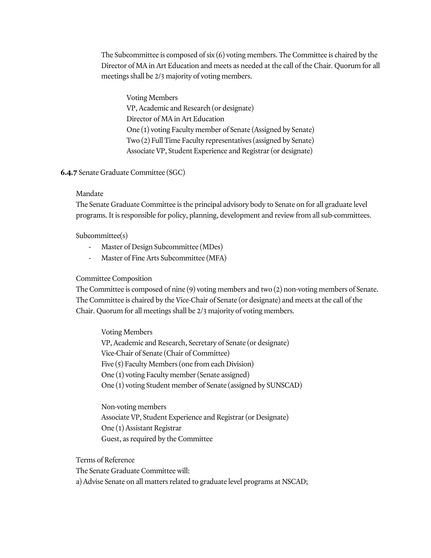The Subcommittee is composed of six (6) voting members. The Committee is chaired by the Director of MA in Art Education and meets as needed at the call of the Chair. Quorum for all meetings shall be 2/3 majority of voting members.

Voting Members VP, Academic and Research (or designate) Director of MA in Art Education One (1) voting Faculty member of Senate (Assigned by Senate) Two (2) Full Time Faculty representatives (assigned by Senate) Associate VP, Student Experience and Registrar (or designate)

## **6.4.7** Senate Graduate Committee (SGC)

## Mandate

The Senate Graduate Committee is the principal advisory body to Senate on for all graduate level programs. It is responsible for policy, planning, development and review from all sub-committees.

Subcommittee(s)

- Master of Design Subcommittee (MDes)
- Master of Fine Arts Subcommittee (MFA)

## Committee Composition

The Committee is composed of nine (9) voting members and two (2) non-voting members of Senate. The Committee is chaired by the Vice-Chair of Senate (or designate) and meets at the call of the Chair. Quorum for all meetings shall be 2/3 majority of voting members.

Voting Members VP, Academic and Research, Secretary of Senate (or designate) Vice-Chair of Senate (Chair of Committee) Five (5) Faculty Members (one from each Division) One (1) voting Faculty member (Senate assigned) One (1) voting Student member of Senate (assigned by SUNSCAD)

Non-voting members Associate VP, Student Experience and Registrar (or Designate) One (1) Assistant Registrar Guest, as required by the Committee

Terms of Reference

The Senate Graduate Committee will:

a) Advise Senate on all matters related to graduate level programs at NSCAD;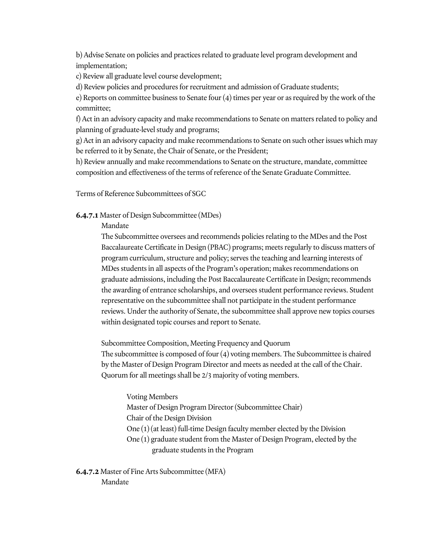b) Advise Senate on policies and practices related to graduate level program development and implementation;

c) Review all graduate level course development;

d) Review policies and procedures for recruitment and admission of Graduate students;

e) Reports on committee business to Senate four (4) times per year or as required by the work of the committee;

f) Act in an advisory capacity and make recommendations to Senate on matters related to policy and planning of graduate-level study and programs;

g) Act in an advisory capacity and make recommendations to Senate on such other issues which may be referred to it by Senate, the Chair of Senate, or the President;

h) Review annually and make recommendations to Senate on the structure, mandate, committee composition and effectiveness of the terms of reference of the Senate Graduate Committee.

Terms of Reference Subcommittees of SGC

### **6.4.7.1** Master of Design Subcommittee (MDes)

Mandate

The Subcommittee oversees and recommends policies relating to the MDes and the Post Baccalaureate Certificate in Design (PBAC) programs; meets regularly to discuss matters of program curriculum, structure and policy; serves the teaching and learning interests of MDes students in all aspects of the Program's operation; makes recommendations on graduate admissions, including the Post Baccalaureate Certificate in Design; recommends the awarding of entrance scholarships, and oversees student performance reviews. Student representative on the subcommittee shall not participate in the student performance reviews. Under the authority of Senate, the subcommittee shall approve new topics courses within designated topic courses and report to Senate.

Subcommittee Composition, Meeting Frequency and Quorum The subcommittee is composed of four (4) voting members. The Subcommittee is chaired by the Master of Design Program Director and meets as needed at the call of the Chair. Quorum for all meetings shall be 2/3 majority of voting members.

Voting Members Master of Design Program Director (Subcommittee Chair) Chair of the Design Division One (1) (at least) full-time Design faculty member elected by the Division One (1) graduate student from the Master of Design Program, elected by the graduate students in the Program

**6.4.7.2** Master of Fine Arts Subcommittee (MFA) Mandate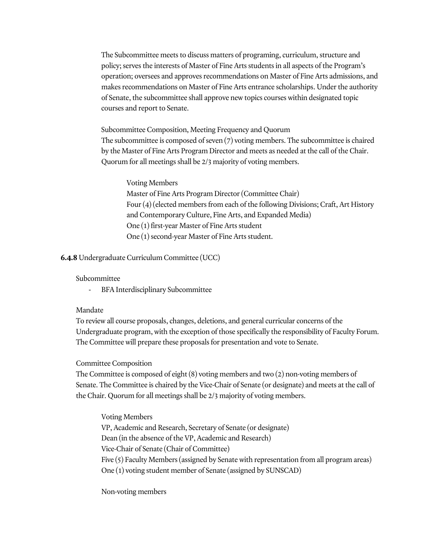The Subcommittee meets to discuss matters of programing, curriculum, structure and policy; serves the interests of Master of Fine Arts students in all aspects of the Program's operation; oversees and approves recommendations on Master of Fine Arts admissions, and makes recommendations on Master of Fine Arts entrance scholarships. Under the authority of Senate, the subcommittee shall approve new topics courses within designated topic courses and report to Senate.

Subcommittee Composition, Meeting Frequency and Quorum The subcommittee is composed of seven (7) voting members. The subcommittee is chaired by the Master of Fine Arts Program Director and meets as needed at the call of the Chair. Quorum for all meetings shall be 2/3 majority of voting members.

Voting Members Master of Fine Arts Program Director (Committee Chair) Four (4) (elected members from each of the following Divisions; Craft, Art History and Contemporary Culture, Fine Arts, and Expanded Media) One (1) first-year Master of Fine Arts student One (1) second-year Master of Fine Arts student.

### **6.4.8** Undergraduate Curriculum Committee (UCC)

#### Subcommittee

- BFA Interdisciplinary Subcommittee

#### Mandate

To review all course proposals, changes, deletions, and general curricular concerns of the Undergraduate program, with the exception of those specifically the responsibility of Faculty Forum. The Committee will prepare these proposals for presentation and vote to Senate.

#### Committee Composition

The Committee is composed of eight (8) voting members and two (2) non-voting members of Senate. The Committee is chaired by the Vice-Chair of Senate (or designate) and meets at the call of the Chair. Quorum for all meetings shall be 2/3 majority of voting members.

Voting Members VP, Academic and Research, Secretary of Senate (or designate) Dean (in the absence of the VP, Academic and Research) Vice-Chair of Senate (Chair of Committee) Five (5) Faculty Members (assigned by Senate with representation from all program areas) One (1) voting student member of Senate (assigned by SUNSCAD)

Non-voting members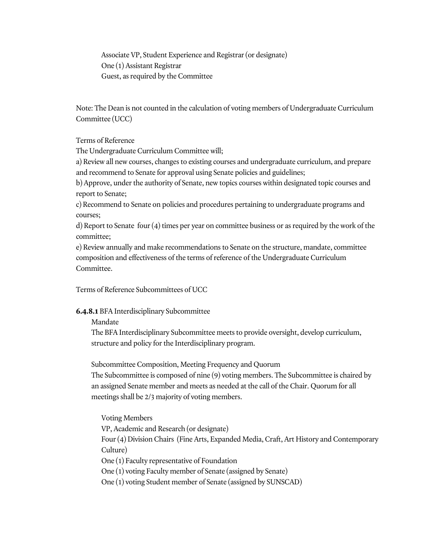Associate VP, Student Experience and Registrar (or designate) One (1) Assistant Registrar Guest, as required by the Committee

Note: The Dean is not counted in the calculation of voting members of Undergraduate Curriculum Committee (UCC)

Terms of Reference

The Undergraduate Curriculum Committee will;

a) Review all new courses, changes to existing courses and undergraduate curriculum, and prepare and recommend to Senate for approval using Senate policies and guidelines;

b) Approve, under the authority of Senate, new topics courses within designated topic courses and report to Senate;

c) Recommend to Senate on policies and procedures pertaining to undergraduate programs and courses;

d) Report to Senate four (4) times per year on committee business or as required by the work of the committee;

e) Review annually and make recommendations to Senate on the structure, mandate, committee composition and effectiveness of the terms of reference of the Undergraduate Curriculum Committee.

Terms of Reference Subcommittees of UCC

## **6.4.8.1** BFA Interdisciplinary Subcommittee

Mandate

The BFA Interdisciplinary Subcommittee meets to provide oversight, develop curriculum, structure and policy for the Interdisciplinary program.

Subcommittee Composition, Meeting Frequency and Quorum

The Subcommittee is composed of nine (9) voting members. The Subcommittee is chaired by an assigned Senate member and meets as needed at the call of the Chair. Quorum for all meetings shall be 2/3 majority of voting members.

Voting Members VP, Academic and Research (or designate) Four (4) Division Chairs (Fine Arts, Expanded Media, Craft, Art History and Contemporary Culture) One (1) Faculty representative of Foundation One (1) voting Faculty member of Senate (assigned by Senate) One (1) voting Student member of Senate (assigned by SUNSCAD)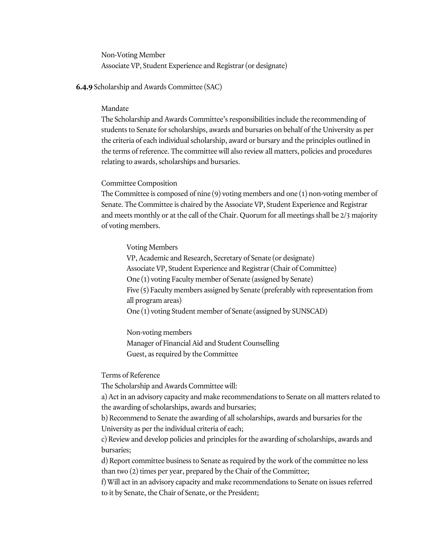Non-Voting Member Associate VP, Student Experience and Registrar (or designate)

#### **6.4.9** Scholarship and Awards Committee (SAC)

#### Mandate

The Scholarship and Awards Committee's responsibilities include the recommending of students to Senate for scholarships, awards and bursaries on behalf of the University as per the criteria of each individual scholarship, award or bursary and the principles outlined in the terms of reference. The committee will also review all matters, policies and procedures relating to awards, scholarships and bursaries.

#### Committee Composition

The Committee is composed of nine (9) voting members and one (1) non-voting member of Senate. The Committee is chaired by the Associate VP, Student Experience and Registrar and meets monthly or at the call of the Chair. Quorum for all meetings shall be 2/3 majority of voting members.

#### Voting Members

VP, Academic and Research, Secretary of Senate (or designate) Associate VP, Student Experience and Registrar (Chair of Committee) One (1) voting Faculty member of Senate (assigned by Senate) Five (5) Faculty members assigned by Senate (preferably with representation from all program areas) One (1) voting Student member of Senate (assigned by SUNSCAD)

Non-voting members Manager of Financial Aid and Student Counselling Guest, as required by the Committee

Terms of Reference

The Scholarship and Awards Committee will:

a) Act in an advisory capacity and make recommendations to Senate on all matters related to the awarding of scholarships, awards and bursaries;

b) Recommend to Senate the awarding of all scholarships, awards and bursaries for the University as per the individual criteria of each;

c) Review and develop policies and principles for the awarding of scholarships, awards and bursaries;

d) Report committee business to Senate as required by the work of the committee no less than two (2) times per year, prepared by the Chair of the Committee;

f) Will act in an advisory capacity and make recommendations to Senate on issues referred to it by Senate, the Chair of Senate, or the President;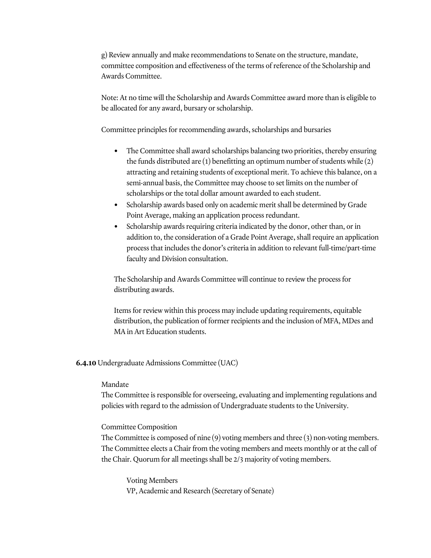g) Review annually and make recommendations to Senate on the structure, mandate, committee composition and effectiveness of the terms of reference of the Scholarship and Awards Committee.

Note: At no time will the Scholarship and Awards Committee award more than is eligible to be allocated for any award, bursary or scholarship.

Committee principles for recommending awards, scholarships and bursaries

- The Committee shall award scholarships balancing two priorities, thereby ensuring the funds distributed are  $(1)$  benefitting an optimum number of students while  $(2)$ attracting and retaining students of exceptional merit. To achieve this balance, on a semi-annual basis, the Committee may choose to set limits on the number of scholarships or the total dollar amount awarded to each student.
- Scholarship awards based only on academic merit shall be determined by Grade Point Average, making an application process redundant.
- Scholarship awards requiring criteria indicated by the donor, other than, or in addition to, the consideration of a Grade Point Average, shall require an application process that includes the donor's criteria in addition to relevant full-time/part-time faculty and Division consultation.

The Scholarship and Awards Committee will continue to review the process for distributing awards.

Items for review within this process may include updating requirements, equitable distribution, the publication of former recipients and the inclusion of MFA, MDes and MA in Art Education students.

## **6.4.10** Undergraduate Admissions Committee (UAC)

## Mandate

The Committee is responsible for overseeing, evaluating and implementing regulations and policies with regard to the admission of Undergraduate students to the University.

## Committee Composition

The Committee is composed of nine (9) voting members and three (3) non-voting members. The Committee elects a Chair from the voting members and meets monthly or at the call of the Chair. Quorum for all meetings shall be 2/3 majority of voting members.

Voting Members VP, Academic and Research (Secretary of Senate)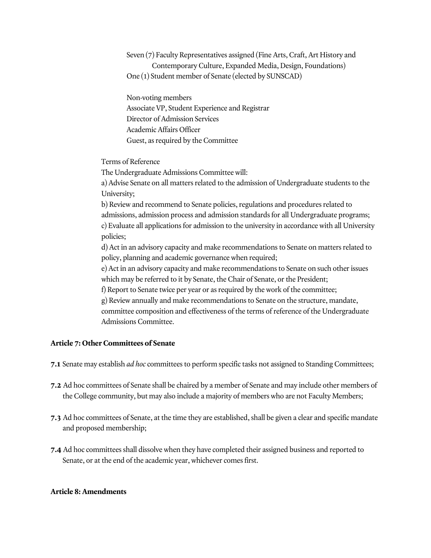Seven (7) Faculty Representatives assigned (Fine Arts, Craft, Art History and Contemporary Culture, Expanded Media, Design, Foundations) One (1) Student member of Senate (elected by SUNSCAD)

Non-voting members Associate VP, Student Experience and Registrar Director of Admission Services Academic Affairs Officer Guest, as required by the Committee

Terms of Reference

The Undergraduate Admissions Committee will:

a) Advise Senate on all matters related to the admission of Undergraduate students to the University;

b) Review and recommend to Senate policies, regulations and procedures related to admissions, admission process and admission standards for all Undergraduate programs; c) Evaluate all applications for admission to the university in accordance with all University policies;

d) Act in an advisory capacity and make recommendations to Senate on matters related to policy, planning and academic governance when required;

e) Act in an advisory capacity and make recommendations to Senate on such other issues which may be referred to it by Senate, the Chair of Senate, or the President;

f) Report to Senate twice per year or as required by the work of the committee;

g) Review annually and make recommendations to Senate on the structure, mandate, committee composition and effectiveness of the terms of reference of the Undergraduate Admissions Committee.

# **Article 7: Other Committees of Senate**

**7.1** Senate may establish *ad hoc* committees to perform specific tasks not assigned to Standing Committees;

- **7.2** Ad hoc committees of Senate shall be chaired by a member of Senate and may include other members of the College community, but may also include a majority of members who are not Faculty Members;
- **7.3** Ad hoc committees of Senate, at the time they are established, shall be given a clear and specific mandate and proposed membership;
- **7.4** Ad hoc committees shall dissolve when they have completed their assigned business and reported to Senate, or at the end of the academic year, whichever comes first.

## **Article 8: Amendments**